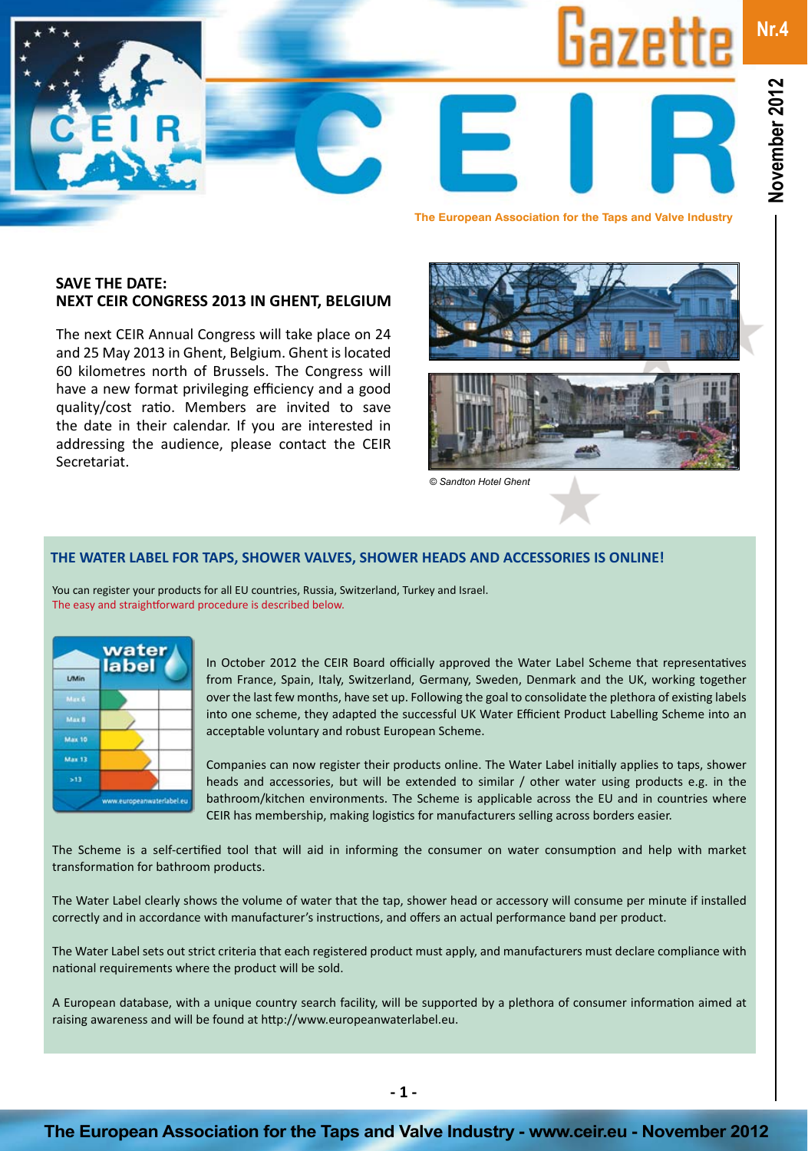

**The European Association for the Taps and Valve Industry**

### **SAVE THE DATE: NEXT CEIR CONGRESS 2013 IN GHENT, BELGIUM**

The next CEIR Annual Congress will take place on 24 and 25 May 2013 in Ghent, Belgium. Ghent is located 60 kilometres north of Brussels. The Congress will have a new format privileging efficiency and a good quality/cost ratio. Members are invited to save the date in their calendar. If you are interested in addressing the audience, please contact the CEIR Secretariat.



*© Sandton Hotel Ghent*

### **THE WATER LABEL FOR TAPS, SHOWER VALVES, SHOWER HEADS AND ACCESSORIES IS ONLINE!**

You can register your products for all EU countries, Russia, Switzerland, Turkey and Israel. The easy and straightforward procedure is described below.

|                           | water<br>label |
|---------------------------|----------------|
| L/Min                     |                |
| Max 6                     |                |
| Max 8                     |                |
| <b>Max 10</b>             |                |
| <b>Max 13</b>             |                |
| >13                       |                |
| www.europeanwaterlabel.eu |                |

In October 2012 the CEIR Board officially approved the Water Label Scheme that representatives from France, Spain, Italy, Switzerland, Germany, Sweden, Denmark and the UK, working together over the last few months, have set up. Following the goal to consolidate the plethora of existing labels into one scheme, they adapted the successful UK Water Efficient Product Labelling Scheme into an acceptable voluntary and robust European Scheme.

Companies can now register their products online. The Water Label initially applies to taps, shower heads and accessories, but will be extended to similar / other water using products e.g. in the bathroom/kitchen environments. The Scheme is applicable across the EU and in countries where CEIR has membership, making logistics for manufacturers selling across borders easier.

The Scheme is a self-certified tool that will aid in informing the consumer on water consumption and help with market transformation for bathroom products.

The Water Label clearly shows the volume of water that the tap, shower head or accessory will consume per minute if installed correctly and in accordance with manufacturer's instructions, and offers an actual performance band per product.

The Water Label sets out strict criteria that each registered product must apply, and manufacturers must declare compliance with national requirements where the product will be sold.

A European database, with a unique country search facility, will be supported by a plethora of consumer information aimed at raising awareness and will be found at http://www.europeanwaterlabel.eu.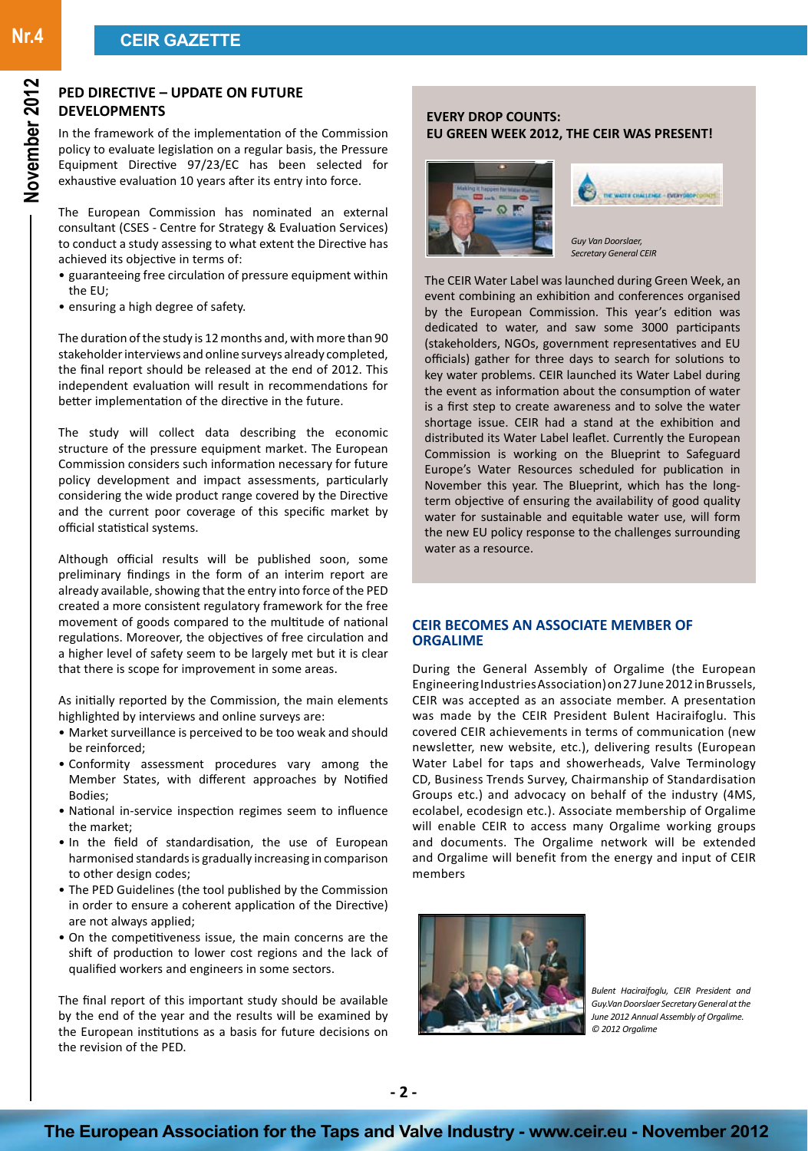# **PED DIRECTIVE – UPDATE ON FUTURE DEVELOPMENTS**

In the framework of the implementation of the Commission policy to evaluate legislation on a regular basis, the Pressure Equipment Directive 97/23/EC has been selected for exhaustive evaluation 10 years after its entry into force.

The European Commission has nominated an external consultant (CSES - Centre for Strategy & Evaluation Services) to conduct a study assessing to what extent the Directive has achieved its objective in terms of:

- guaranteeing free circulation of pressure equipment within the EU;
- ensuring a high degree of safety.

The duration of the study is 12 months and, with more than 90 stakeholder interviews and online surveys already completed, the final report should be released at the end of 2012. This independent evaluation will result in recommendations for better implementation of the directive in the future.

The study will collect data describing the economic structure of the pressure equipment market. The European Commission considers such information necessary for future policy development and impact assessments, particularly considering the wide product range covered by the Directive and the current poor coverage of this specific market by official statistical systems.

Although official results will be published soon, some preliminary findings in the form of an interim report are already available, showing that the entry into force of the PED created a more consistent regulatory framework for the free movement of goods compared to the multitude of national regulations. Moreover, the objectives of free circulation and a higher level of safety seem to be largely met but it is clear that there is scope for improvement in some areas.

As initially reported by the Commission, the main elements highlighted by interviews and online surveys are:

- Market surveillance is perceived to be too weak and should be reinforced;
- Conformity assessment procedures vary among the Member States, with different approaches by Notified Bodies;
- National in-service inspection regimes seem to influence the market;
- In the field of standardisation, the use of European harmonised standards is gradually increasing in comparison to other design codes;
- The PED Guidelines (the tool published by the Commission in order to ensure a coherent application of the Directive) are not always applied;
- On the competitiveness issue, the main concerns are the shift of production to lower cost regions and the lack of qualified workers and engineers in some sectors.

The final report of this important study should be available by the end of the year and the results will be examined by the European institutions as a basis for future decisions on the revision of the PED.

### **EVERY DROP COUNTS: EU GREEN WEEK 2012, THE CEIR WAS PRESENT!**





The CEIR Water Label was launched during Green Week, an event combining an exhibition and conferences organised by the European Commission. This year's edition was dedicated to water, and saw some 3000 participants (stakeholders, NGOs, government representatives and EU officials) gather for three days to search for solutions to key water problems. CEIR launched its Water Label during the event as information about the consumption of water is a first step to create awareness and to solve the water shortage issue. CEIR had a stand at the exhibition and distributed its Water Label leaflet. Currently the European Commission is working on the Blueprint to Safeguard Europe's Water Resources scheduled for publication in November this year. The Blueprint, which has the longterm objective of ensuring the availability of good quality water for sustainable and equitable water use, will form the new EU policy response to the challenges surrounding water as a resource.

#### **CEIR BECOMES AN ASSOCIATE MEMBER OF ORGALIME**

During the General Assembly of Orgalime (the European Engineering Industries Association) on 27 June 2012 in Brussels, CEIR was accepted as an associate member. A presentation was made by the CEIR President Bulent Haciraifoglu. This covered CEIR achievements in terms of communication (new newsletter, new website, etc.), delivering results (European Water Label for taps and showerheads, Valve Terminology CD, Business Trends Survey, Chairmanship of Standardisation Groups etc.) and advocacy on behalf of the industry (4MS, ecolabel, ecodesign etc.). Associate membership of Orgalime will enable CEIR to access many Orgalime working groups and documents. The Orgalime network will be extended and Orgalime will benefit from the energy and input of CEIR members



*Bulent Haciraifoglu, CEIR President and Guy.Van Doorslaer Secretary General at the June 2012 Annual Assembly of Orgalime. © 2012 Orgalime*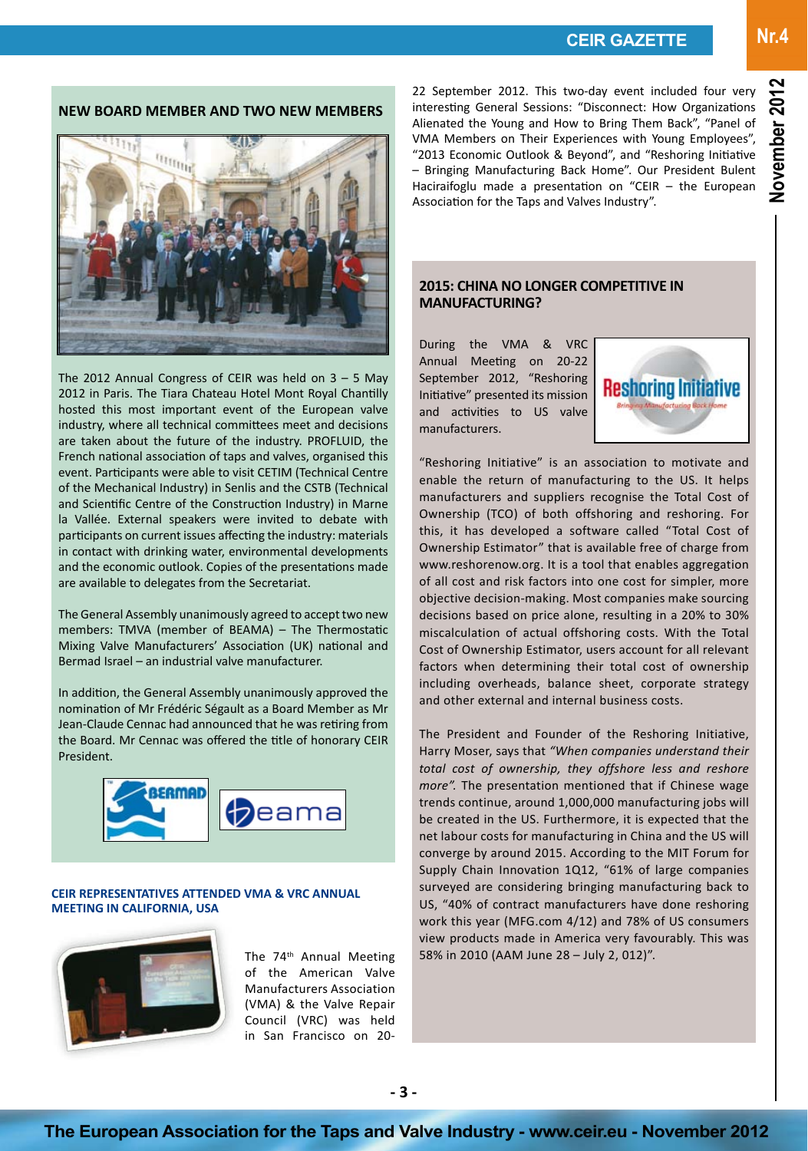**Nr.4**

# **NEW BOARD MEMBER AND TWO NEW MEMBERS**



The 2012 Annual Congress of CEIR was held on 3 – 5 May 2012 in Paris. The Tiara Chateau Hotel Mont Royal Chantilly hosted this most important event of the European valve industry, where all technical committees meet and decisions are taken about the future of the industry. PROFLUID, the French national association of taps and valves, organised this event. Participants were able to visit CETIM (Technical Centre of the Mechanical Industry) in Senlis and the CSTB (Technical and Scientific Centre of the Construction Industry) in Marne la Vallée. External speakers were invited to debate with participants on current issues affecting the industry: materials in contact with drinking water, environmental developments and the economic outlook. Copies of the presentations made are available to delegates from the Secretariat.

The General Assembly unanimously agreed to accept two new members: TMVA (member of BEAMA) – The Thermostatic Mixing Valve Manufacturers' Association (UK) national and Bermad Israel – an industrial valve manufacturer.

In addition, the General Assembly unanimously approved the nomination of Mr Frédéric Ségault as a Board Member as Mr Jean-Claude Cennac had announced that he was retiring from the Board. Mr Cennac was offered the title of honorary CEIR President.



**CEIR REPRESENTATIVES ATTENDED VMA & VRC ANNUAL MEETING IN CALIFORNIA, USA** 



The 74<sup>th</sup> Annual Meeting of the American Valve Manufacturers Association (VMA) & the Valve Repair Council (VRC) was held in San Francisco on 2022 September 2012. This two-day event included four very interesting General Sessions: "Disconnect: How Organizations Alienated the Young and How to Bring Them Back", "Panel of VMA Members on Their Experiences with Young Employees", "2013 Economic Outlook & Beyond", and "Reshoring Initiative – Bringing Manufacturing Back Home". Our President Bulent Haciraifoglu made a presentation on "CEIR – the European Association for the Taps and Valves Industry".

### **2015: CHINA NO LONGER COMPETITIVE IN MANUFACTURING?**

During the VMA & VRC Annual Meeting on 20-22 September 2012, "Reshoring Initiative" presented its mission and activities to US valve manufacturers.



"Reshoring Initiative" is an association to motivate and enable the return of manufacturing to the US. It helps manufacturers and suppliers recognise the Total Cost of Ownership (TCO) of both offshoring and reshoring. For this, it has developed a software called "Total Cost of Ownership Estimator" that is available free of charge from www.reshorenow.org. It is a tool that enables aggregation of all cost and risk factors into one cost for simpler, more objective decision-making. Most companies make sourcing decisions based on price alone, resulting in a 20% to 30% miscalculation of actual offshoring costs. With the Total Cost of Ownership Estimator, users account for all relevant factors when determining their total cost of ownership including overheads, balance sheet, corporate strategy and other external and internal business costs.

The President and Founder of the Reshoring Initiative, Harry Moser, says that *"When companies understand their total cost of ownership, they offshore less and reshore more".* The presentation mentioned that if Chinese wage trends continue, around 1,000,000 manufacturing jobs will be created in the US. Furthermore, it is expected that the net labour costs for manufacturing in China and the US will converge by around 2015. According to the MIT Forum for Supply Chain Innovation 1Q12, "61% of large companies surveyed are considering bringing manufacturing back to US, "40% of contract manufacturers have done reshoring work this year (MFG.com 4/12) and 78% of US consumers view products made in America very favourably. This was 58% in 2010 (AAM June 28 – July 2, 012)".

**The European Association for the Taps and Valve Industry - www.ceir.eu - November 2012**